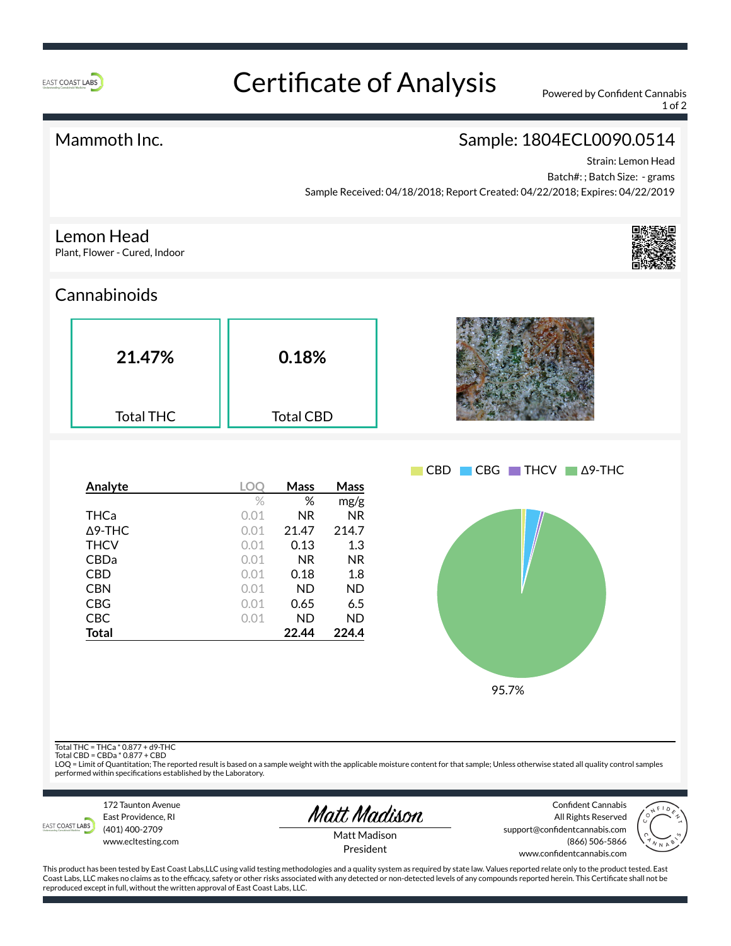

# Certificate of Analysis Powered by Confident Cannabis

1 of 2

### Mammoth Inc. Sample: 1804ECL0090.0514

Strain: Lemon Head

Batch#: ; Batch Size: - grams Sample Received: 04/18/2018; Report Created: 04/22/2018; Expires: 04/22/2019



Lemon Head Plant, Flower - Cured, Indoor

### **Cannabinoids**

| 21.47%<br>0.18%<br><b>Total THC</b><br><b>Total CBD</b> |  |
|---------------------------------------------------------|--|
|---------------------------------------------------------|--|

| Analyte        | LOC  | Mass      | Mass      |
|----------------|------|-----------|-----------|
|                | $\%$ | %         | mg/g      |
| THCa           | 0.01 | ΝR        | NR        |
| $\Delta$ 9-THC | 0.01 | 21.47     | 214.7     |
| <b>THCV</b>    | 0.01 | 0.13      | 1.3       |
| <b>CBDa</b>    | 0.01 | <b>NR</b> | NR.       |
| CBD            | 0.01 | 0.18      | 1.8       |
| <b>CBN</b>     | 0.01 | ND        | <b>ND</b> |
| CBG            | 0.01 | 0.65      | 6.5       |
| CBC            | 0.01 | ND        | <b>ND</b> |
| Total          |      | 22.44     | 224.4     |



95.7%

Total THC = THCa $*$  0.877 + d9-THC

Total CBD = CBDa \* 0.877 + CBD<br>LOQ = Limit of Quantitation; The reported result is based on a sample weight with the applicable moisture content for that sample; Unless otherwise stated all quality control samples performed within specifications established by the Laboratory.



172 Taunton Avenue East Providence, RI (401) 400-2709 www.ecltesting.com



Confident Cannabis All Rights Reserved support@confidentcannabis.com www.confidentcannabis.com



Matt Madison President

(866) 506-5866

This product has been tested by East Coast Labs,LLC using valid testing methodologies and a quality system as required by state law. Values reported relate only to the product tested. East Coast Labs, LLC makes no claims as to the efficacy, safety or other risks associated with any detected or non-detected levels of any compounds reported herein. This Certificate shall not be reproduced except in full, without the written approval of East Coast Labs, LLC.